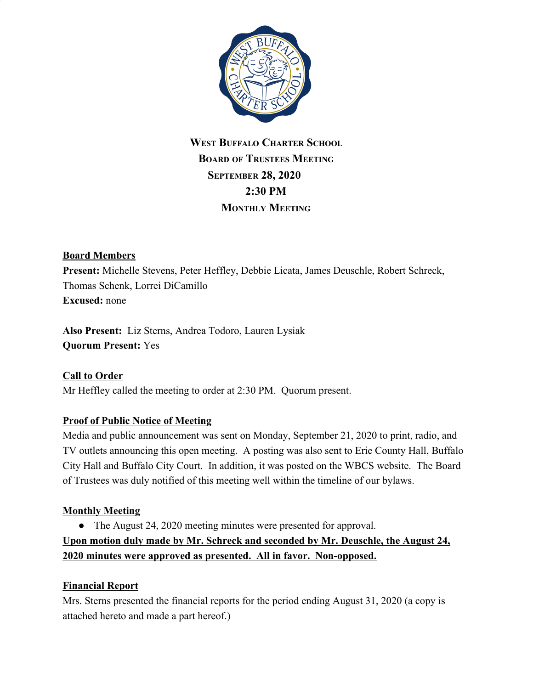

# **WEST BUFFALO CHARTER SCHOOL BOARD OF TRUSTEES MEETING SEPTEMBER 28, 2020 2:30 PM MONTHLY MEETING**

### **Board Members**

**Present:** Michelle Stevens, Peter Heffley, Debbie Licata, James Deuschle, Robert Schreck, Thomas Schenk, Lorrei DiCamillo **Excused:** none

**Also Present:** Liz Sterns, Andrea Todoro, Lauren Lysiak **Quorum Present:** Yes

### **Call to Order**

Mr Heffley called the meeting to order at 2:30 PM. Quorum present.

### **Proof of Public Notice of Meeting**

Media and public announcement was sent on Monday, September 21, 2020 to print, radio, and TV outlets announcing this open meeting. A posting was also sent to Erie County Hall, Buffalo City Hall and Buffalo City Court. In addition, it was posted on the WBCS website. The Board of Trustees was duly notified of this meeting well within the timeline of our bylaws.

### **Monthly Meeting**

● The August 24, 2020 meeting minutes were presented for approval.

**Upon motion duly made by Mr. Schreck and seconded by Mr. Deuschle, the August 24, 2020 minutes were approved as presented. All in favor. Non-opposed.**

### **Financial Report**

Mrs. Sterns presented the financial reports for the period ending August 31, 2020 (a copy is attached hereto and made a part hereof.)